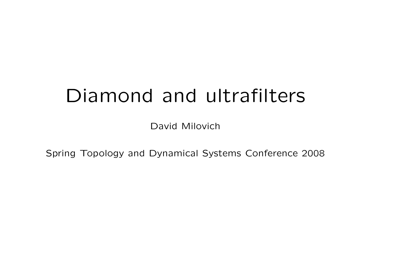# Diamond and ultrafilters

David Milovich

Spring Topology and Dynamical Systems Conference 2008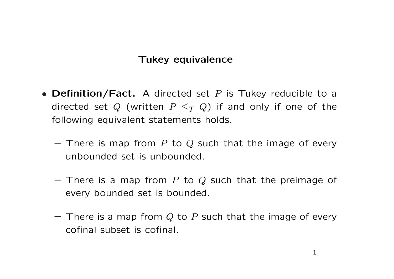# Tukey equivalence

- Definition/Fact. A directed set  $P$  is Tukey reducible to a directed set Q (written  $P \leq_T Q$ ) if and only if one of the following equivalent statements holds.
	- There is map from P to Q such that the image of every unbounded set is unbounded.
	- There is a map from P to Q such that the preimage of every bounded set is bounded.
	- $-$  There is a map from Q to P such that the image of every cofinal subset is cofinal.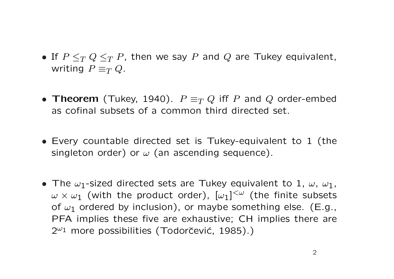- If  $P \leq_T Q \leq_T P$ , then we say P and Q are Tukey equivalent, writing  $P \equiv_T Q$ .
- Theorem (Tukey, 1940).  $P \equiv_T Q$  iff P and Q order-embed as cofinal subsets of a common third directed set.
- Every countable directed set is Tukey-equivalent to 1 (the singleton order) or  $\omega$  (an ascending sequence).
- The  $\omega_1$ -sized directed sets are Tukey equivalent to 1,  $\omega$ ,  $\omega_1$ ,  $\omega\times\omega_1$  (with the product order),  $[\omega_1]^{{<}\omega}$  (the finite subsets of  $\omega_1$  ordered by inclusion), or maybe something else. (E.g., PFA implies these five are exhaustive; CH implies there are  $2^{\omega_1}$  more possibilities (Todorčević, 1985).)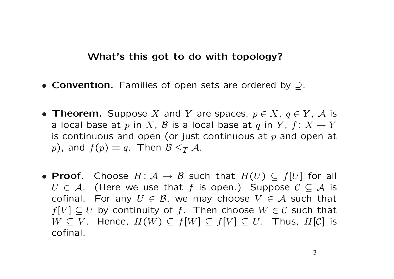#### What's this got to do with topology?

- Convention. Families of open sets are ordered by ⊃.
- Theorem. Suppose X and Y are spaces,  $p \in X$ ,  $q \in Y$ , A is a local base at p in X, B is a local base at q in Y,  $f: X \to Y$ is continuous and open (or just continuous at  $p$  and open at p), and  $f(p) = q$ . Then  $\mathcal{B} \leq_T \mathcal{A}$ .
- Proof. Choose  $H: \mathcal{A} \to \mathcal{B}$  such that  $H(U) \subseteq f[U]$  for all  $U \in \mathcal{A}$ . (Here we use that f is open.) Suppose  $\mathcal{C} \subseteq \mathcal{A}$  is cofinal. For any  $U \in \mathcal{B}$ , we may choose  $V \in \mathcal{A}$  such that  $f[V] \subseteq U$  by continuity of f. Then choose  $W \in \mathcal{C}$  such that  $W \subseteq V$ . Hence,  $H(W) \subseteq f[W] \subseteq f[V] \subseteq U$ . Thus,  $H[C]$  is cofinal.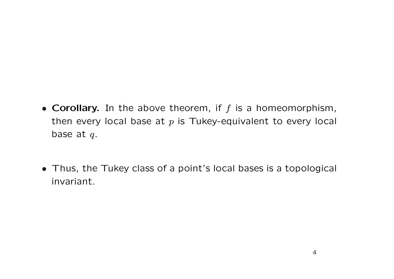- Corollary. In the above theorem, if  $f$  is a homeomorphism, then every local base at  $p$  is Tukey-equivalent to every local base at  $q$ .
- Thus, the Tukey class of a point's local bases is a topological invariant.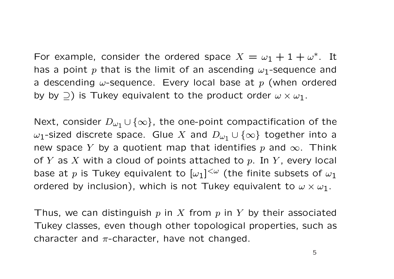For example, consider the ordered space  $X = \omega_1 + 1 + \omega^*$ . It has a point p that is the limit of an ascending  $\omega_1$ -sequence and a descending  $\omega$ -sequence. Every local base at p (when ordered by by  $\supseteq$ ) is Tukey equivalent to the product order  $\omega \times \omega_1$ .

Next, consider  $D_{\omega_1} \cup \{\infty\}$ , the one-point compactification of the  $ω_1$ -sized discrete space. Glue X and  $Dω_1 ∪ {∞}$  together into a new space Y by a quotient map that identifies p and  $\infty$ . Think of Y as X with a cloud of points attached to p. In Y, every local base at p is Tukey equivalent to  $[\omega_1]^{<\omega}$  (the finite subsets of  $\omega_1$ ordered by inclusion), which is not Tukey equivalent to  $\omega \times \omega_1$ .

Thus, we can distinguish  $p$  in  $X$  from  $p$  in  $Y$  by their associated Tukey classes, even though other topological properties, such as character and  $\pi$ -character, have not changed.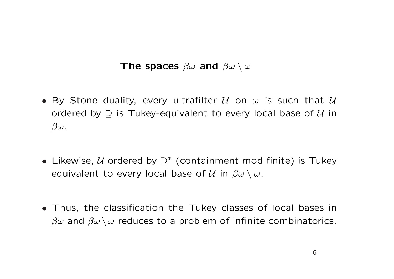# The spaces  $\beta\omega$  and  $\beta\omega \setminus \omega$

- By Stone duality, every ultrafilter  $U$  on  $\omega$  is such that  $U$ ordered by  $\supseteq$  is Tukey-equivalent to every local base of  $U$  in  $\beta\omega$ .
- Likewise,  $U$  ordered by  $\supseteq^*$  (containment mod finite) is Tukey equivalent to every local base of  $\mathcal U$  in  $\beta\omega\setminus\omega$ .
- Thus, the classification the Tukey classes of local bases in  $\beta\omega$  and  $\beta\omega\setminus\omega$  reduces to a problem of infinite combinatorics.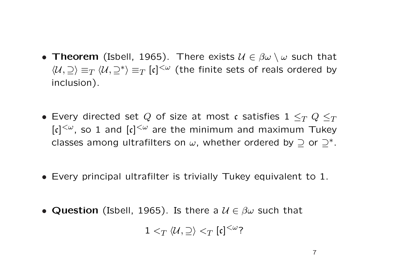- Theorem (Isbell, 1965). There exists  $\mathcal{U} \in \beta \omega \setminus \omega$  such that  $\langle \mathcal{U}, \supseteq \rangle \equiv_T \langle \mathcal{U}, \supseteq^* \rangle \equiv_T [\mathfrak{c}]^{<\omega}$  (the finite sets of reals ordered by inclusion).
- Every directed set Q of size at most c satisfies  $1 \leq_T Q \leq_T$  $[\mathfrak{c}]^{<\omega}$ , so 1 and  $[\mathfrak{c}]^{<\omega}$  are the minimum and maximum Tukey classes among ultrafilters on  $\omega$ , whether ordered by  $\supseteq$  or  $\supseteq^*$ .
- Every principal ultrafilter is trivially Tukey equivalent to 1.
- Question (Isbell, 1965). Is there a  $\mathcal{U} \in \beta\omega$  such that

 $1 <_T \langle \mathcal{U}, \supseteq \rangle <_T [\mathfrak{c}]^{<\omega}$ ?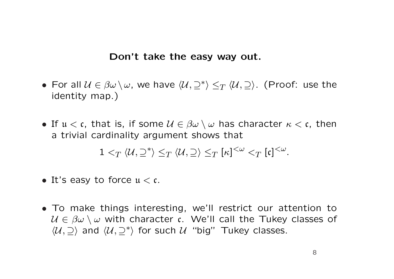#### Don't take the easy way out.

- For all  $\mathcal{U} \in \beta \omega \setminus \omega$ , we have  $\langle \mathcal{U}, \supseteq^* \rangle \leq_T \langle \mathcal{U}, \supseteq \rangle$ . (Proof: use the identity map.)
- If  $u < c$ , that is, if some  $\mathcal{U} \in \beta \omega \setminus \omega$  has character  $\kappa < c$ , then a trivial cardinality argument shows that

$$
1 <_T \langle U, \supseteq^* \rangle \leq_T \langle U, \supseteq \rangle \leq_T [\kappa]^{<\omega} <_T [\mathfrak{c}]^{<\omega}.
$$

- It's easy to force  $u < c$ .
- To make things interesting, we'll restrict our attention to  $U \in \beta\omega \setminus \omega$  with character c. We'll call the Tukey classes of  $\langle \mathcal{U}, \supseteq \rangle$  and  $\langle \mathcal{U}, \supseteq^* \rangle$  for such  $\mathcal{U}$  "big" Tukey classes.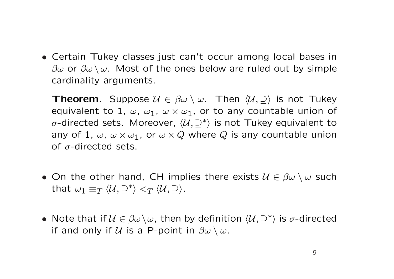• Certain Tukey classes just can't occur among local bases in  $\beta\omega$  or  $\beta\omega\setminus\omega$ . Most of the ones below are ruled out by simple cardinality arguments.

**Theorem.** Suppose  $\mathcal{U} \in \beta\omega \setminus \omega$ . Then  $\langle \mathcal{U}, \supseteq \rangle$  is not Tukey equivalent to 1,  $\omega$ ,  $\omega_1$ ,  $\omega \times \omega_1$ , or to any countable union of σ-directed sets. Moreover,  $\langle U, \supseteq^* \rangle$  is not Tukey equivalent to any of 1,  $\omega$ ,  $\omega \times \omega_1$ , or  $\omega \times Q$  where Q is any countable union of  $\sigma$ -directed sets.

- On the other hand, CH implies there exists  $\mathcal{U} \in \beta \omega \setminus \omega$  such that  $\omega_1 \equiv_T \langle \mathcal{U}, \supseteq^* \rangle <_T \langle \mathcal{U}, \supseteq \rangle$ .
- Note that if  $\mathcal{U} \in \beta \omega \backslash \omega$ , then by definition  $\langle \mathcal{U}, \supseteq^* \rangle$  is  $\sigma$ -directed if and only if  $U$  is a P-point in  $\beta\omega\setminus\omega$ .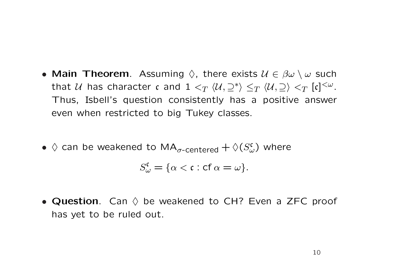- Main Theorem. Assuming  $\Diamond$ , there exists  $\mathcal{U} \in \beta \omega \setminus \omega$  such that  $\mathcal U$  has character  $\mathfrak c$  and  $1 <_T \langle \mathcal U, \supseteq^* \rangle \le_T \langle \mathcal U, \supseteq \rangle <_T [\mathfrak c]^{< \omega}.$ Thus, Isbell's question consistently has a positive answer even when restricted to big Tukey classes.
- $\diamondsuit$  can be weakened to MA<sub> $\sigma$ -centered</sub>  $+$   $\diamondsuit(S_{\omega}^{\mathfrak{c}})$  where

$$
S_{\omega}^{\mathfrak{c}} = \{\alpha < \mathfrak{c} : \text{cf } \alpha = \omega\}.
$$

• Question. Can  $\diamond$  be weakened to CH? Even a ZFC proof has yet to be ruled out.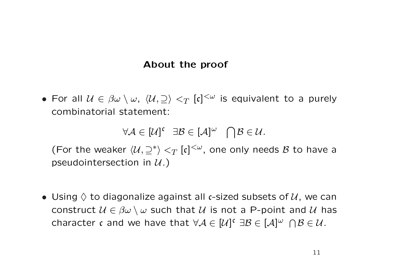### About the proof

• For all  $\mathcal{U} \in \beta \omega \setminus \omega$ ,  $\langle \mathcal{U}, \supseteq \rangle <_T [\mathfrak{c}]^{<\omega}$  is equivalent to a purely combinatorial statement:

$$
\forall A \in [\mathcal{U}]^c \quad \exists B \in [\mathcal{A}]^{\omega} \quad \bigcap \mathcal{B} \in \mathcal{U}.
$$

(For the weaker  $\langle \mathcal{U}, \supseteq^* \rangle <_T [\mathfrak{c}]^{<\omega}$ , one only needs  $\mathcal B$  to have a pseudointersection in  $U.$ )

• Using  $\Diamond$  to diagonalize against all c-sized subsets of  $\mathcal{U}$ , we can construct  $U \in \beta\omega \setminus \omega$  such that U is not a P-point and U has character c and we have that  $\forall A \in [\mathcal{U}]^c \exists \mathcal{B} \in [\mathcal{A}]^{\omega} \cap \mathcal{B} \in \mathcal{U}$ .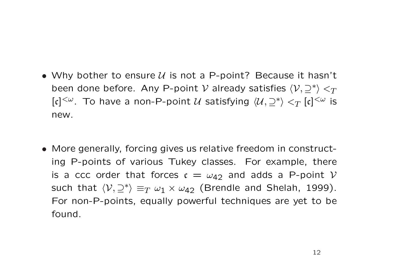- Why bother to ensure  $U$  is not a P-point? Because it hasn't been done before. Any P-point  $\mathcal V$  already satisfies  $\langle \mathcal V, \supseteq^* \rangle <_T$  $[\mathfrak{c}]^{<\omega}$ . To have a non-P-point  $\mathcal U$  satisfying  $\langle \mathcal U, \supseteq^* \rangle <_T [\mathfrak{c}]^{<\omega}$  is new.
- More generally, forcing gives us relative freedom in constructing P-points of various Tukey classes. For example, there is a ccc order that forces  $c = \omega_{42}$  and adds a P-point V such that  $\langle \mathcal{V}, \supseteq^* \rangle \equiv_T \omega_1 \times \omega_{42}$  (Brendle and Shelah, 1999). For non-P-points, equally powerful techniques are yet to be found.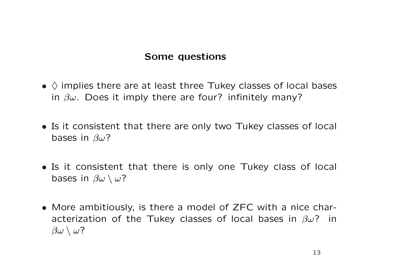## Some questions

- $\bullet$   $\Diamond$  implies there are at least three Tukey classes of local bases in  $\beta\omega$ . Does it imply there are four? infinitely many?
- Is it consistent that there are only two Tukey classes of local bases in  $\beta\omega$ ?
- Is it consistent that there is only one Tukey class of local bases in  $\beta\omega \setminus \omega$ ?
- More ambitiously, is there a model of ZFC with a nice characterization of the Tukey classes of local bases in  $\beta\omega$ ? in  $\beta\omega \setminus \omega$ ?